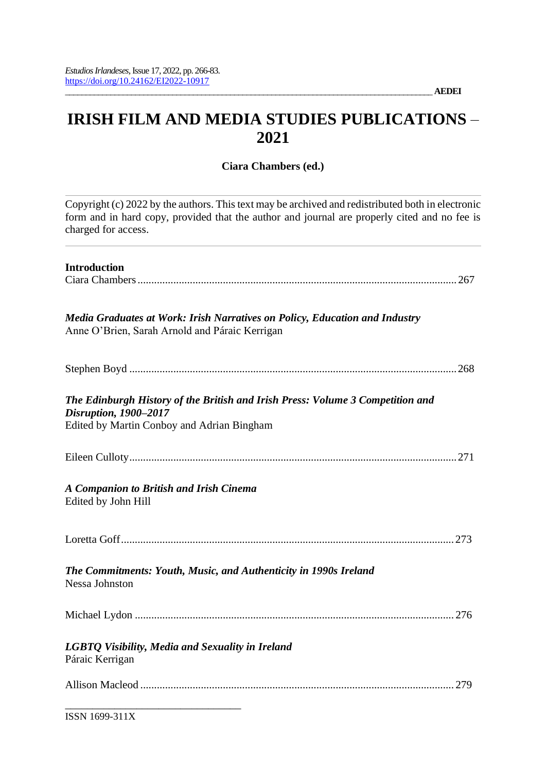# **IRISH FILM AND MEDIA STUDIES PUBLICATIONS** – **2021**

**Ciara Chambers (ed.)**

Copyright (c) 2022 by the authors. This text may be archived and redistributed both in electronic form and in hard copy, provided that the author and journal are properly cited and no fee is charged for access.

| <b>Introduction</b>                                                                                                                                   |
|-------------------------------------------------------------------------------------------------------------------------------------------------------|
| Media Graduates at Work: Irish Narratives on Policy, Education and Industry<br>Anne O'Brien, Sarah Arnold and Páraic Kerrigan                         |
|                                                                                                                                                       |
| The Edinburgh History of the British and Irish Press: Volume 3 Competition and<br>Disruption, 1900-2017<br>Edited by Martin Conboy and Adrian Bingham |
|                                                                                                                                                       |
| <b>A Companion to British and Irish Cinema</b><br>Edited by John Hill                                                                                 |
|                                                                                                                                                       |
| The Commitments: Youth, Music, and Authenticity in 1990s Ireland<br><b>Nessa Johnston</b>                                                             |
|                                                                                                                                                       |
| LGBTQ Visibility, Media and Sexuality in Ireland<br>Páraic Kerrigan                                                                                   |
|                                                                                                                                                       |
| ISSN 1699-311X                                                                                                                                        |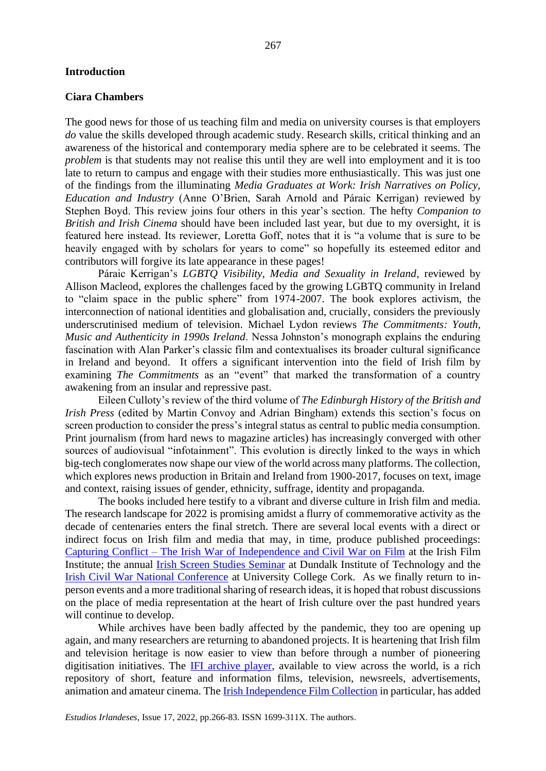#### **Introduction**

#### **Ciara Chambers**

The good news for those of us teaching film and media on university courses is that employers *do* value the skills developed through academic study. Research skills, critical thinking and an awareness of the historical and contemporary media sphere are to be celebrated it seems. The *problem* is that students may not realise this until they are well into employment and it is too late to return to campus and engage with their studies more enthusiastically. This was just one of the findings from the illuminating *Media Graduates at Work: Irish Narratives on Policy, Education and Industry* (Anne O'Brien, Sarah Arnold and Páraic Kerrigan) reviewed by Stephen Boyd. This review joins four others in this year's section. The hefty *Companion to British and Irish Cinema* should have been included last year, but due to my oversight, it is featured here instead. Its reviewer, Loretta Goff, notes that it is "a volume that is sure to be heavily engaged with by scholars for years to come" so hopefully its esteemed editor and contributors will forgive its late appearance in these pages!

Páraic Kerrigan's *LGBTQ Visibility, Media and Sexuality in Ireland*, reviewed by Allison Macleod, explores the challenges faced by the growing LGBTQ community in Ireland to "claim space in the public sphere" from 1974-2007. The book explores activism, the interconnection of national identities and globalisation and, crucially, considers the previously underscrutinised medium of television. Michael Lydon reviews *The Commitments: Youth, Music and Authenticity in 1990s Ireland*. Nessa Johnston's monograph explains the enduring fascination with Alan Parker's classic film and contextualises its broader cultural significance in Ireland and beyond. It offers a significant intervention into the field of Irish film by examining *The Commitments* as an "event" that marked the transformation of a country awakening from an insular and repressive past.

Eileen Culloty's review of the third volume of *The Edinburgh History of the British and Irish Press* (edited by Martin Convoy and Adrian Bingham) extends this section's focus on screen production to consider the press's integral status as central to public media consumption. Print journalism (from hard news to magazine articles) has increasingly converged with other sources of audiovisual "infotainment". This evolution is directly linked to the ways in which big-tech conglomerates now shape our view of the world across many platforms. The collection, which explores news production in Britain and Ireland from 1900-2017, focuses on text, image and context, raising issues of gender, ethnicity, suffrage, identity and propaganda.

The books included here testify to a vibrant and diverse culture in Irish film and media. The research landscape for 2022 is promising amidst a flurry of commemorative activity as the decade of centenaries enters the final stretch. There are several local events with a direct or indirect focus on Irish film and media that may, in time, produce published proceedings[:](https://ifi.ie/2021/10/capturing-conflict/) Capturing Conflict – [The Irish War of Independence and](https://ifi.ie/2021/10/capturing-conflict/) Civil War on Film at the Irish Film Institute; the annual [Irish Screen Studies Seminar](http://irishscreenstudies.ie/2022-iss-seminar-at-dundalk-institute-of-technology/) at Dundalk Institute of Technology and the [Irish Civil War National Conference](https://www.ucc.ie/en/theirishrevolution/ucc-civil-war-cenetenary-programme/civil-war-conference-june-2022/) at University College Cork. As we finally return to inperson events and a more traditional sharing of research ideas, it is hoped that robust discussions on the place of media representation at the heart of Irish culture over the past hundred years will continue to develop.

While archives have been badly affected by the pandemic, they too are opening up again, and many researchers are returning to abandoned projects. It is heartening that Irish film and television heritage is now easier to view than before through a number of pioneering digitisation initiatives. The [IFI archive player,](https://ifiarchiveplayer.ie/) available to view across the world, is a rich repository of short, feature and information films, television, newsreels, advertisements, animation and amateur cinema. The [Irish Independence Film Collection](https://ifiarchiveplayer.ie/independencefilms/) in particular, has added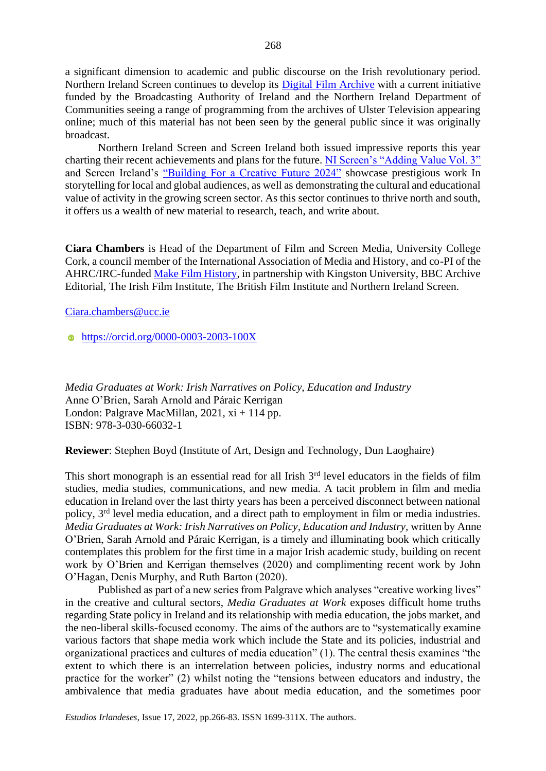a significant dimension to academic and public discourse on the Irish revolutionary period. Northern Ireland Screen continues to develop its **Digital Film Archive** with a current initiative funded by the Broadcasting Authority of Ireland and the Northern Ireland Department of Communities seeing a range of programming from the archives of Ulster Television appearing online; much of this material has not been seen by the general public since it was originally broadcast.

Northern Ireland Screen and Screen Ireland both issued impressive reports this year charting their recent achievements and plans for the future. [NI Screen's "Adding Value Vol. 3"](https://issuu.com/northernirelandscreen/docs/ni_screen_value_report_2021_sgls) and Screen Ireland's ["Building For a Creative Future 2024"](https://www.screenireland.ie/strategy) showcase prestigious work In storytelling for local and global audiences, as well as demonstrating the cultural and educational value of activity in the growing screen sector. As this sector continues to thrive north and south, it offers us a wealth of new material to research, teach, and write about.

**Ciara Chambers** is Head of the Department of Film and Screen Media, University College Cork, a council member of the International Association of Media and History, and co-PI of the AHRC/IRC-funde[d Make Film History,](https://www.archivesforeducation.com/makefilmhistory) in partnership with Kingston University, BBC Archive Editorial, The Irish Film Institute, The British Film Institute and Northern Ireland Screen.

[Ciara.chambers@ucc.ie](mailto:Ciara.chambers@ucc.ie)

**<https://orcid.org/0000-0003-2003-100X>** 

*Media Graduates at Work: Irish Narratives on Policy, Education and Industry*  Anne O'Brien, Sarah Arnold and Páraic Kerrigan London: Palgrave MacMillan,  $2021$ ,  $xi + 114$  pp. ISBN: 978-3-030-66032-1

**Reviewer**: Stephen Boyd (Institute of Art, Design and Technology, Dun Laoghaire)

This short monograph is an essential read for all Irish  $3<sup>rd</sup>$  level educators in the fields of film studies, media studies, communications, and new media. A tacit problem in film and media education in Ireland over the last thirty years has been a perceived disconnect between national policy, 3rd level media education, and a direct path to employment in film or media industries. *Media Graduates at Work: Irish Narratives on Policy, Education and Industry,* written by Anne O'Brien, Sarah Arnold and Páraic Kerrigan, is a timely and illuminating book which critically contemplates this problem for the first time in a major Irish academic study, building on recent work by O'Brien and Kerrigan themselves (2020) and complimenting recent work by John O'Hagan, Denis Murphy, and Ruth Barton (2020).

Published as part of a new series from Palgrave which analyses "creative working lives" in the creative and cultural sectors, *Media Graduates at Work* exposes difficult home truths regarding State policy in Ireland and its relationship with media education, the jobs market, and the neo-liberal skills-focused economy. The aims of the authors are to "systematically examine various factors that shape media work which include the State and its policies, industrial and organizational practices and cultures of media education" (1). The central thesis examines "the extent to which there is an interrelation between policies, industry norms and educational practice for the worker" (2) whilst noting the "tensions between educators and industry, the ambivalence that media graduates have about media education, and the sometimes poor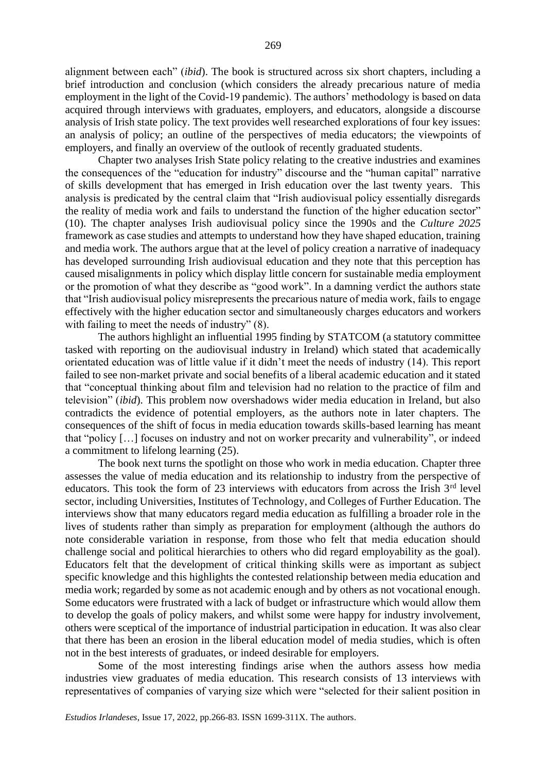alignment between each" (*ibid*). The book is structured across six short chapters, including a brief introduction and conclusion (which considers the already precarious nature of media employment in the light of the Covid-19 pandemic). The authors' methodology is based on data acquired through interviews with graduates, employers, and educators, alongside a discourse analysis of Irish state policy. The text provides well researched explorations of four key issues: an analysis of policy; an outline of the perspectives of media educators; the viewpoints of employers, and finally an overview of the outlook of recently graduated students.

Chapter two analyses Irish State policy relating to the creative industries and examines the consequences of the "education for industry" discourse and the "human capital" narrative of skills development that has emerged in Irish education over the last twenty years. This analysis is predicated by the central claim that "Irish audiovisual policy essentially disregards the reality of media work and fails to understand the function of the higher education sector" (10). The chapter analyses Irish audiovisual policy since the 1990s and the *Culture 2025* framework as case studies and attempts to understand how they have shaped education, training and media work. The authors argue that at the level of policy creation a narrative of inadequacy has developed surrounding Irish audiovisual education and they note that this perception has caused misalignments in policy which display little concern for sustainable media employment or the promotion of what they describe as "good work". In a damning verdict the authors state that "Irish audiovisual policy misrepresents the precarious nature of media work, fails to engage effectively with the higher education sector and simultaneously charges educators and workers with failing to meet the needs of industry" (8).

The authors highlight an influential 1995 finding by STATCOM (a statutory committee tasked with reporting on the audiovisual industry in Ireland) which stated that academically orientated education was of little value if it didn't meet the needs of industry (14). This report failed to see non-market private and social benefits of a liberal academic education and it stated that "conceptual thinking about film and television had no relation to the practice of film and television" (*ibid*). This problem now overshadows wider media education in Ireland, but also contradicts the evidence of potential employers, as the authors note in later chapters. The consequences of the shift of focus in media education towards skills-based learning has meant that "policy […] focuses on industry and not on worker precarity and vulnerability", or indeed a commitment to lifelong learning (25).

The book next turns the spotlight on those who work in media education. Chapter three assesses the value of media education and its relationship to industry from the perspective of educators. This took the form of 23 interviews with educators from across the Irish  $3<sup>rd</sup>$  level sector, including Universities, Institutes of Technology, and Colleges of Further Education. The interviews show that many educators regard media education as fulfilling a broader role in the lives of students rather than simply as preparation for employment (although the authors do note considerable variation in response, from those who felt that media education should challenge social and political hierarchies to others who did regard employability as the goal). Educators felt that the development of critical thinking skills were as important as subject specific knowledge and this highlights the contested relationship between media education and media work; regarded by some as not academic enough and by others as not vocational enough. Some educators were frustrated with a lack of budget or infrastructure which would allow them to develop the goals of policy makers, and whilst some were happy for industry involvement, others were sceptical of the importance of industrial participation in education. It was also clear that there has been an erosion in the liberal education model of media studies, which is often not in the best interests of graduates, or indeed desirable for employers.

Some of the most interesting findings arise when the authors assess how media industries view graduates of media education. This research consists of 13 interviews with representatives of companies of varying size which were "selected for their salient position in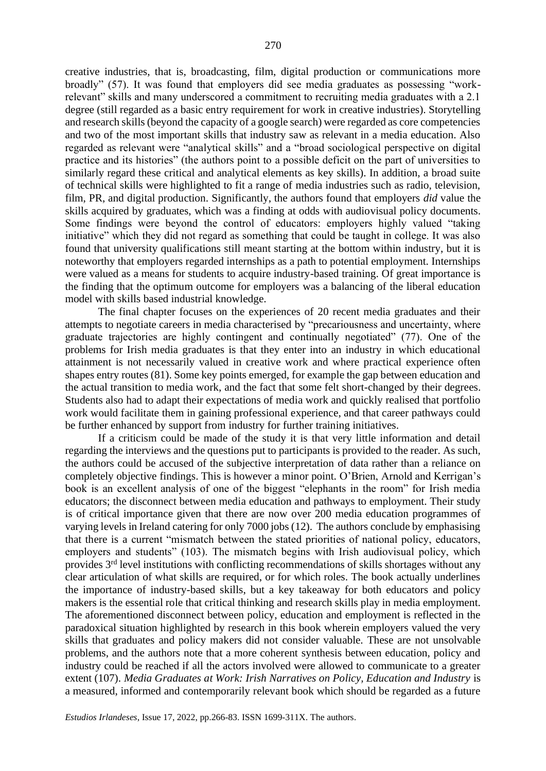creative industries, that is, broadcasting, film, digital production or communications more broadly" (57). It was found that employers did see media graduates as possessing "workrelevant" skills and many underscored a commitment to recruiting media graduates with a 2.1 degree (still regarded as a basic entry requirement for work in creative industries). Storytelling and research skills (beyond the capacity of a google search) were regarded as core competencies and two of the most important skills that industry saw as relevant in a media education. Also regarded as relevant were "analytical skills" and a "broad sociological perspective on digital practice and its histories" (the authors point to a possible deficit on the part of universities to similarly regard these critical and analytical elements as key skills). In addition, a broad suite of technical skills were highlighted to fit a range of media industries such as radio, television, film, PR, and digital production. Significantly, the authors found that employers *did* value the skills acquired by graduates, which was a finding at odds with audiovisual policy documents. Some findings were beyond the control of educators: employers highly valued "taking initiative" which they did not regard as something that could be taught in college. It was also found that university qualifications still meant starting at the bottom within industry, but it is noteworthy that employers regarded internships as a path to potential employment. Internships were valued as a means for students to acquire industry-based training. Of great importance is the finding that the optimum outcome for employers was a balancing of the liberal education model with skills based industrial knowledge.

The final chapter focuses on the experiences of 20 recent media graduates and their attempts to negotiate careers in media characterised by "precariousness and uncertainty, where graduate trajectories are highly contingent and continually negotiated" (77). One of the problems for Irish media graduates is that they enter into an industry in which educational attainment is not necessarily valued in creative work and where practical experience often shapes entry routes (81). Some key points emerged, for example the gap between education and the actual transition to media work, and the fact that some felt short-changed by their degrees. Students also had to adapt their expectations of media work and quickly realised that portfolio work would facilitate them in gaining professional experience, and that career pathways could be further enhanced by support from industry for further training initiatives.

If a criticism could be made of the study it is that very little information and detail regarding the interviews and the questions put to participants is provided to the reader. As such, the authors could be accused of the subjective interpretation of data rather than a reliance on completely objective findings. This is however a minor point. O'Brien, Arnold and Kerrigan's book is an excellent analysis of one of the biggest "elephants in the room" for Irish media educators; the disconnect between media education and pathways to employment. Their study is of critical importance given that there are now over 200 media education programmes of varying levels in Ireland catering for only 7000 jobs (12). The authors conclude by emphasising that there is a current "mismatch between the stated priorities of national policy, educators, employers and students" (103). The mismatch begins with Irish audiovisual policy, which provides 3rd level institutions with conflicting recommendations of skills shortages without any clear articulation of what skills are required, or for which roles. The book actually underlines the importance of industry-based skills, but a key takeaway for both educators and policy makers is the essential role that critical thinking and research skills play in media employment. The aforementioned disconnect between policy, education and employment is reflected in the paradoxical situation highlighted by research in this book wherein employers valued the very skills that graduates and policy makers did not consider valuable. These are not unsolvable problems, and the authors note that a more coherent synthesis between education, policy and industry could be reached if all the actors involved were allowed to communicate to a greater extent (107). *Media Graduates at Work: Irish Narratives on Policy, Education and Industry is* a measured, informed and contemporarily relevant book which should be regarded as a future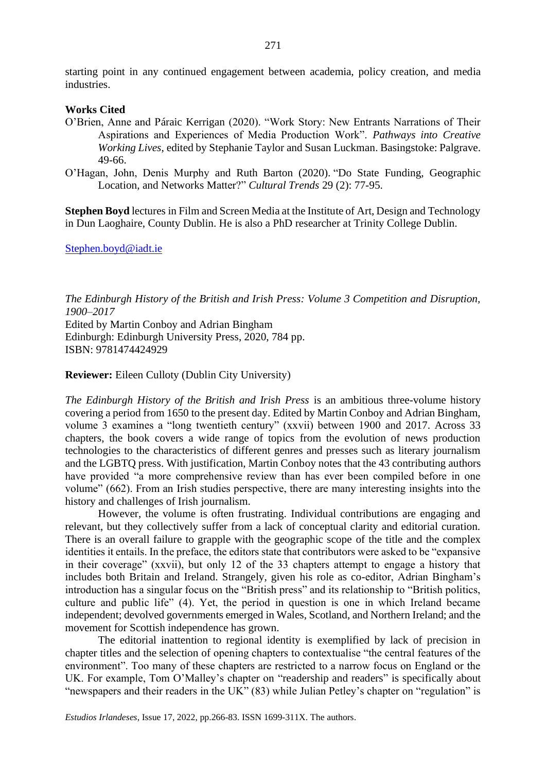starting point in any continued engagement between academia, policy creation, and media industries.

# **Works Cited**

- O'Brien, Anne and Páraic Kerrigan (2020). "Work Story: New Entrants Narrations of Their Aspirations and Experiences of Media Production Work". *Pathways into Creative Working Lives*, edited by Stephanie Taylor and Susan Luckman. Basingstoke: Palgrave. 49-66.
- O'Hagan, John, Denis Murphy and Ruth Barton (2020). "Do State Funding, Geographic Location, and Networks Matter?" *Cultural Trends* 29 (2): 77-95.

**Stephen Boyd** lectures in Film and Screen Media at the Institute of Art, Design and Technology in Dun Laoghaire, County Dublin. He is also a PhD researcher at Trinity College Dublin.

[Stephen.boyd@iadt.ie](mailto:Stephen.boyd@iadt.ie)

*The Edinburgh History of the British and Irish Press: Volume 3 Competition and Disruption, 1900–2017* Edited by Martin Conboy and Adrian Bingham Edinburgh: Edinburgh University Press, 2020, 784 pp. ISBN: 9781474424929

**Reviewer:** Eileen Culloty (Dublin City University)

*The Edinburgh History of the British and Irish Press* is an ambitious three-volume history covering a period from 1650 to the present day. Edited by Martin Conboy and Adrian Bingham, volume 3 examines a "long twentieth century" (xxvii) between 1900 and 2017. Across 33 chapters, the book covers a wide range of topics from the evolution of news production technologies to the characteristics of different genres and presses such as literary journalism and the LGBTQ press. With justification, Martin Conboy notes that the 43 contributing authors have provided "a more comprehensive review than has ever been compiled before in one volume" (662). From an Irish studies perspective, there are many interesting insights into the history and challenges of Irish journalism.

However, the volume is often frustrating. Individual contributions are engaging and relevant, but they collectively suffer from a lack of conceptual clarity and editorial curation. There is an overall failure to grapple with the geographic scope of the title and the complex identities it entails. In the preface, the editors state that contributors were asked to be "expansive in their coverage" (xxvii), but only 12 of the 33 chapters attempt to engage a history that includes both Britain and Ireland. Strangely, given his role as co-editor, Adrian Bingham's introduction has a singular focus on the "British press" and its relationship to "British politics, culture and public life" (4). Yet, the period in question is one in which Ireland became independent; devolved governments emerged in Wales, Scotland, and Northern Ireland; and the movement for Scottish independence has grown.

The editorial inattention to regional identity is exemplified by lack of precision in chapter titles and the selection of opening chapters to contextualise "the central features of the environment". Too many of these chapters are restricted to a narrow focus on England or the UK. For example, Tom O'Malley's chapter on "readership and readers" is specifically about "newspapers and their readers in the UK" (83) while Julian Petley's chapter on "regulation" is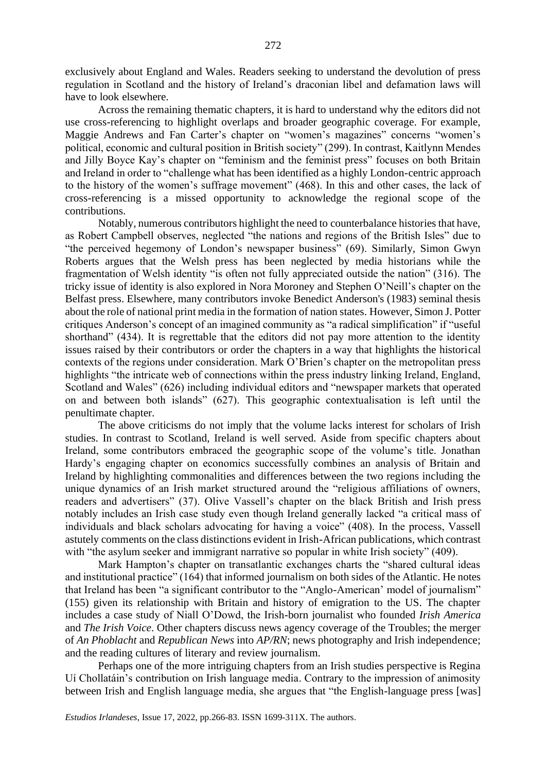exclusively about England and Wales. Readers seeking to understand the devolution of press regulation in Scotland and the history of Ireland's draconian libel and defamation laws will have to look elsewhere.

Across the remaining thematic chapters, it is hard to understand why the editors did not use cross-referencing to highlight overlaps and broader geographic coverage. For example, Maggie Andrews and Fan Carter's chapter on "women's magazines" concerns "women's political, economic and cultural position in British society" (299). In contrast, Kaitlynn Mendes and Jilly Boyce Kay's chapter on "feminism and the feminist press" focuses on both Britain and Ireland in order to "challenge what has been identified as a highly London-centric approach to the history of the women's suffrage movement" (468). In this and other cases, the lack of cross-referencing is a missed opportunity to acknowledge the regional scope of the contributions.

Notably, numerous contributors highlight the need to counterbalance histories that have, as Robert Campbell observes, neglected "the nations and regions of the British Isles" due to "the perceived hegemony of London's newspaper business" (69). Similarly, Simon Gwyn Roberts argues that the Welsh press has been neglected by media historians while the fragmentation of Welsh identity "is often not fully appreciated outside the nation" (316). The tricky issue of identity is also explored in Nora Moroney and Stephen O'Neill's chapter on the Belfast press. Elsewhere, many contributors invoke Benedict Anderson's (1983) seminal thesis about the role of national print media in the formation of nation states. However, Simon J. Potter critiques Anderson's concept of an imagined community as "a radical simplification" if "useful shorthand" (434). It is regrettable that the editors did not pay more attention to the identity issues raised by their contributors or order the chapters in a way that highlights the historical contexts of the regions under consideration. Mark O'Brien's chapter on the metropolitan press highlights "the intricate web of connections within the press industry linking Ireland, England, Scotland and Wales" (626) including individual editors and "newspaper markets that operated on and between both islands" (627). This geographic contextualisation is left until the penultimate chapter.

The above criticisms do not imply that the volume lacks interest for scholars of Irish studies. In contrast to Scotland, Ireland is well served. Aside from specific chapters about Ireland, some contributors embraced the geographic scope of the volume's title. Jonathan Hardy's engaging chapter on economics successfully combines an analysis of Britain and Ireland by highlighting commonalities and differences between the two regions including the unique dynamics of an Irish market structured around the "religious affiliations of owners, readers and advertisers" (37). Olive Vassell's chapter on the black British and Irish press notably includes an Irish case study even though Ireland generally lacked "a critical mass of individuals and black scholars advocating for having a voice" (408). In the process, Vassell astutely comments on the class distinctions evident in Irish-African publications, which contrast with "the asylum seeker and immigrant narrative so popular in white Irish society" (409).

Mark Hampton's chapter on transatlantic exchanges charts the "shared cultural ideas and institutional practice" (164) that informed journalism on both sides of the Atlantic. He notes that Ireland has been "a significant contributor to the "Anglo-American' model of journalism" (155) given its relationship with Britain and history of emigration to the US. The chapter includes a case study of Niall O'Dowd, the Irish-born journalist who founded *Irish America* and *The Irish Voice*. Other chapters discuss news agency coverage of the Troubles; the merger of *An Phoblacht* and *Republican News* into *AP/RN*; news photography and Irish independence; and the reading cultures of literary and review journalism.

Perhaps one of the more intriguing chapters from an Irish studies perspective is Regina Uí Chollatáin's contribution on Irish language media. Contrary to the impression of animosity between Irish and English language media, she argues that "the English-language press [was]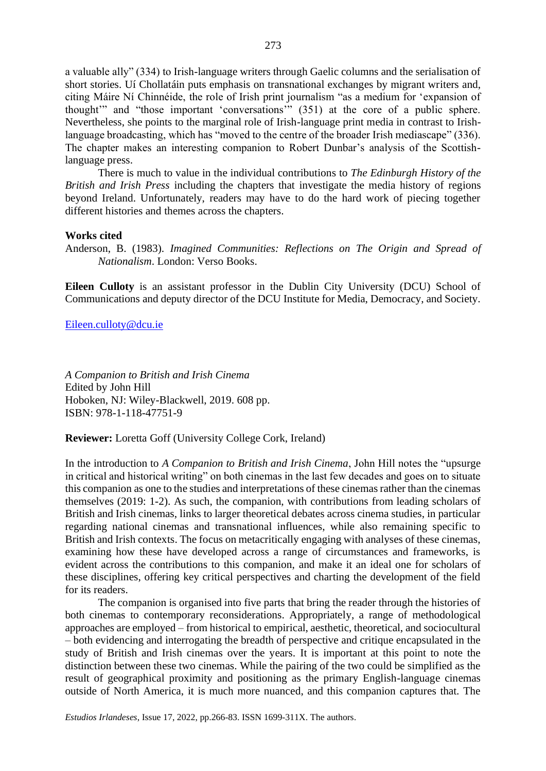a valuable ally" (334) to Irish-language writers through Gaelic columns and the serialisation of short stories. Uí Chollatáin puts emphasis on transnational exchanges by migrant writers and, citing Máire Ní Chinnéide, the role of Irish print journalism "as a medium for 'expansion of thought'" and "those important 'conversations'" (351) at the core of a public sphere. Nevertheless, she points to the marginal role of Irish-language print media in contrast to Irishlanguage broadcasting, which has "moved to the centre of the broader Irish mediascape" (336). The chapter makes an interesting companion to Robert Dunbar's analysis of the Scottishlanguage press.

There is much to value in the individual contributions to *The Edinburgh History of the British and Irish Press* including the chapters that investigate the media history of regions beyond Ireland. Unfortunately, readers may have to do the hard work of piecing together different histories and themes across the chapters.

### **Works cited**

Anderson, B. (1983). *Imagined Communities: Reflections on The Origin and Spread of Nationalism*. London: Verso Books.

**Eileen Culloty** is an assistant professor in the Dublin City University (DCU) School of Communications and deputy director of the DCU Institute for Media, Democracy, and Society.

[Eileen.culloty@dcu.ie](mailto:Eileen.culloty@dcu.ie)

*A Companion to British and Irish Cinema* Edited by John Hill Hoboken, NJ: Wiley-Blackwell, 2019. 608 pp. ISBN: 978-1-118-47751-9

**Reviewer:** Loretta Goff (University College Cork, Ireland)

In the introduction to *A Companion to British and Irish Cinema*, John Hill notes the "upsurge in critical and historical writing" on both cinemas in the last few decades and goes on to situate this companion as one to the studies and interpretations of these cinemas rather than the cinemas themselves (2019: 1-2). As such, the companion, with contributions from leading scholars of British and Irish cinemas, links to larger theoretical debates across cinema studies, in particular regarding national cinemas and transnational influences, while also remaining specific to British and Irish contexts. The focus on metacritically engaging with analyses of these cinemas, examining how these have developed across a range of circumstances and frameworks, is evident across the contributions to this companion, and make it an ideal one for scholars of these disciplines, offering key critical perspectives and charting the development of the field for its readers.

The companion is organised into five parts that bring the reader through the histories of both cinemas to contemporary reconsiderations. Appropriately, a range of methodological approaches are employed – from historical to empirical, aesthetic, theoretical, and sociocultural – both evidencing and interrogating the breadth of perspective and critique encapsulated in the study of British and Irish cinemas over the years. It is important at this point to note the distinction between these two cinemas. While the pairing of the two could be simplified as the result of geographical proximity and positioning as the primary English-language cinemas outside of North America, it is much more nuanced, and this companion captures that. The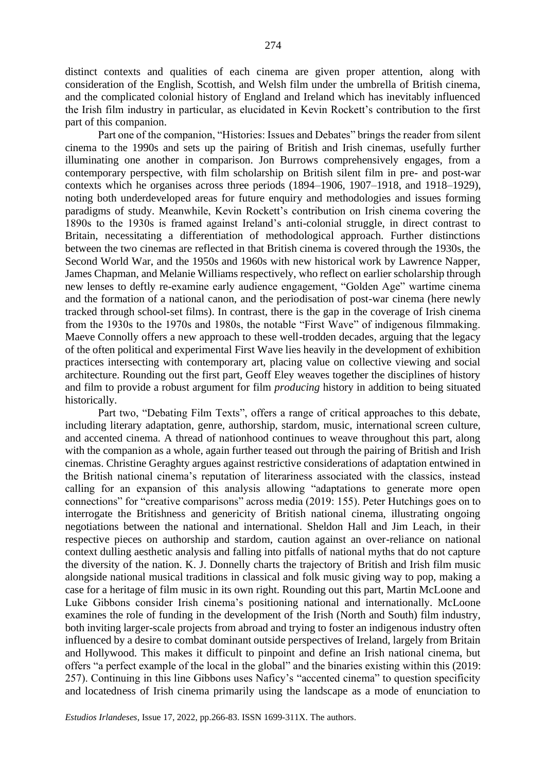distinct contexts and qualities of each cinema are given proper attention, along with consideration of the English, Scottish, and Welsh film under the umbrella of British cinema, and the complicated colonial history of England and Ireland which has inevitably influenced the Irish film industry in particular, as elucidated in Kevin Rockett's contribution to the first part of this companion.

Part one of the companion, "Histories: Issues and Debates" brings the reader from silent cinema to the 1990s and sets up the pairing of British and Irish cinemas, usefully further illuminating one another in comparison. Jon Burrows comprehensively engages, from a contemporary perspective, with film scholarship on British silent film in pre- and post-war contexts which he organises across three periods (1894–1906, 1907–1918, and 1918–1929), noting both underdeveloped areas for future enquiry and methodologies and issues forming paradigms of study. Meanwhile, Kevin Rockett's contribution on Irish cinema covering the 1890s to the 1930s is framed against Ireland's anti-colonial struggle, in direct contrast to Britain, necessitating a differentiation of methodological approach. Further distinctions between the two cinemas are reflected in that British cinema is covered through the 1930s, the Second World War, and the 1950s and 1960s with new historical work by Lawrence Napper, James Chapman, and Melanie Williams respectively, who reflect on earlier scholarship through new lenses to deftly re-examine early audience engagement, "Golden Age" wartime cinema and the formation of a national canon, and the periodisation of post-war cinema (here newly tracked through school-set films). In contrast, there is the gap in the coverage of Irish cinema from the 1930s to the 1970s and 1980s, the notable "First Wave" of indigenous filmmaking. Maeve Connolly offers a new approach to these well-trodden decades, arguing that the legacy of the often political and experimental First Wave lies heavily in the development of exhibition practices intersecting with contemporary art, placing value on collective viewing and social architecture. Rounding out the first part, Geoff Eley weaves together the disciplines of history and film to provide a robust argument for film *producing* history in addition to being situated historically.

Part two, "Debating Film Texts", offers a range of critical approaches to this debate, including literary adaptation, genre, authorship, stardom, music, international screen culture, and accented cinema. A thread of nationhood continues to weave throughout this part, along with the companion as a whole, again further teased out through the pairing of British and Irish cinemas. Christine Geraghty argues against restrictive considerations of adaptation entwined in the British national cinema's reputation of literariness associated with the classics, instead calling for an expansion of this analysis allowing "adaptations to generate more open connections" for "creative comparisons" across media (2019: 155). Peter Hutchings goes on to interrogate the Britishness and genericity of British national cinema, illustrating ongoing negotiations between the national and international. Sheldon Hall and Jim Leach, in their respective pieces on authorship and stardom, caution against an over-reliance on national context dulling aesthetic analysis and falling into pitfalls of national myths that do not capture the diversity of the nation. K. J. Donnelly charts the trajectory of British and Irish film music alongside national musical traditions in classical and folk music giving way to pop, making a case for a heritage of film music in its own right. Rounding out this part, Martin McLoone and Luke Gibbons consider Irish cinema's positioning national and internationally. McLoone examines the role of funding in the development of the Irish (North and South) film industry, both inviting larger-scale projects from abroad and trying to foster an indigenous industry often influenced by a desire to combat dominant outside perspectives of Ireland, largely from Britain and Hollywood. This makes it difficult to pinpoint and define an Irish national cinema, but offers "a perfect example of the local in the global" and the binaries existing within this (2019: 257). Continuing in this line Gibbons uses Naficy's "accented cinema" to question specificity and locatedness of Irish cinema primarily using the landscape as a mode of enunciation to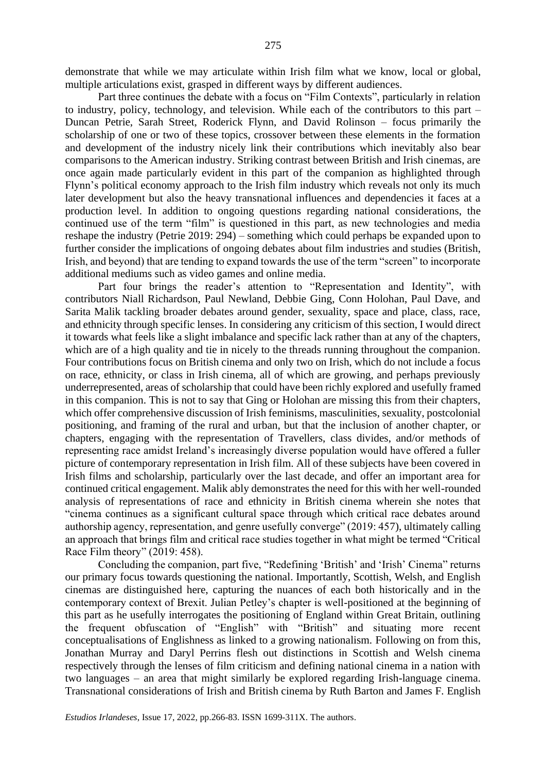demonstrate that while we may articulate within Irish film what we know, local or global, multiple articulations exist, grasped in different ways by different audiences.

Part three continues the debate with a focus on "Film Contexts", particularly in relation to industry, policy, technology, and television. While each of the contributors to this part – Duncan Petrie, Sarah Street, Roderick Flynn, and David Rolinson – focus primarily the scholarship of one or two of these topics, crossover between these elements in the formation and development of the industry nicely link their contributions which inevitably also bear comparisons to the American industry. Striking contrast between British and Irish cinemas, are once again made particularly evident in this part of the companion as highlighted through Flynn's political economy approach to the Irish film industry which reveals not only its much later development but also the heavy transnational influences and dependencies it faces at a production level. In addition to ongoing questions regarding national considerations, the continued use of the term "film" is questioned in this part, as new technologies and media reshape the industry (Petrie 2019: 294) – something which could perhaps be expanded upon to further consider the implications of ongoing debates about film industries and studies (British, Irish, and beyond) that are tending to expand towards the use of the term "screen" to incorporate additional mediums such as video games and online media.

Part four brings the reader's attention to "Representation and Identity", with contributors Niall Richardson, Paul Newland, Debbie Ging, Conn Holohan, Paul Dave, and Sarita Malik tackling broader debates around gender, sexuality, space and place, class, race, and ethnicity through specific lenses. In considering any criticism of this section, I would direct it towards what feels like a slight imbalance and specific lack rather than at any of the chapters, which are of a high quality and tie in nicely to the threads running throughout the companion. Four contributions focus on British cinema and only two on Irish, which do not include a focus on race, ethnicity, or class in Irish cinema, all of which are growing, and perhaps previously underrepresented, areas of scholarship that could have been richly explored and usefully framed in this companion. This is not to say that Ging or Holohan are missing this from their chapters, which offer comprehensive discussion of Irish feminisms, masculinities, sexuality, postcolonial positioning, and framing of the rural and urban, but that the inclusion of another chapter, or chapters, engaging with the representation of Travellers, class divides, and/or methods of representing race amidst Ireland's increasingly diverse population would have offered a fuller picture of contemporary representation in Irish film. All of these subjects have been covered in Irish films and scholarship, particularly over the last decade, and offer an important area for continued critical engagement. Malik ably demonstrates the need for this with her well-rounded analysis of representations of race and ethnicity in British cinema wherein she notes that "cinema continues as a significant cultural space through which critical race debates around authorship agency, representation, and genre usefully converge" (2019: 457), ultimately calling an approach that brings film and critical race studies together in what might be termed "Critical Race Film theory" (2019: 458).

Concluding the companion, part five, "Redefining 'British' and 'Irish' Cinema" returns our primary focus towards questioning the national. Importantly, Scottish, Welsh, and English cinemas are distinguished here, capturing the nuances of each both historically and in the contemporary context of Brexit. Julian Petley's chapter is well-positioned at the beginning of this part as he usefully interrogates the positioning of England within Great Britain, outlining the frequent obfuscation of "English" with "British" and situating more recent conceptualisations of Englishness as linked to a growing nationalism. Following on from this, Jonathan Murray and Daryl Perrins flesh out distinctions in Scottish and Welsh cinema respectively through the lenses of film criticism and defining national cinema in a nation with two languages – an area that might similarly be explored regarding Irish-language cinema. Transnational considerations of Irish and British cinema by Ruth Barton and James F. English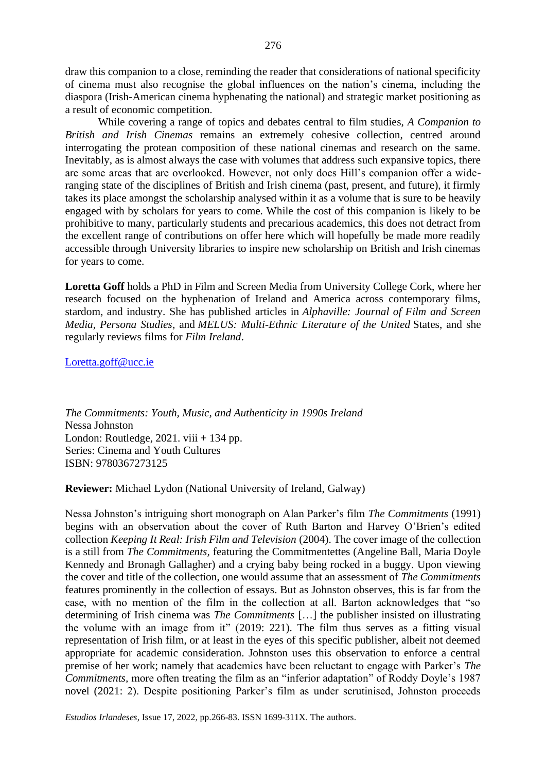draw this companion to a close, reminding the reader that considerations of national specificity of cinema must also recognise the global influences on the nation's cinema, including the diaspora (Irish-American cinema hyphenating the national) and strategic market positioning as a result of economic competition.

While covering a range of topics and debates central to film studies, *A Companion to British and Irish Cinemas* remains an extremely cohesive collection, centred around interrogating the protean composition of these national cinemas and research on the same. Inevitably, as is almost always the case with volumes that address such expansive topics, there are some areas that are overlooked. However, not only does Hill's companion offer a wideranging state of the disciplines of British and Irish cinema (past, present, and future), it firmly takes its place amongst the scholarship analysed within it as a volume that is sure to be heavily engaged with by scholars for years to come. While the cost of this companion is likely to be prohibitive to many, particularly students and precarious academics, this does not detract from the excellent range of contributions on offer here which will hopefully be made more readily accessible through University libraries to inspire new scholarship on British and Irish cinemas for years to come.

**Loretta Goff** holds a PhD in Film and Screen Media from University College Cork, where her research focused on the hyphenation of Ireland and America across contemporary films, stardom, and industry. She has published articles in *Alphaville: Journal of Film and Screen Media, Persona Studies*, and *MELUS: Multi-Ethnic Literature of the United* States, and she regularly reviews films for *Film Ireland*.

[Loretta.goff@ucc.ie](mailto:Loretta.goff@ucc.ie)

*The Commitments: Youth, Music, and Authenticity in 1990s Ireland* Nessa Johnston London: Routledge,  $2021$ . viii  $+134$  pp. Series: Cinema and Youth Cultures ISBN: 9780367273125

**Reviewer:** Michael Lydon (National University of Ireland, Galway)

Nessa Johnston's intriguing short monograph on Alan Parker's film *The Commitments* (1991) begins with an observation about the cover of Ruth Barton and Harvey O'Brien's edited collection *Keeping It Real: Irish Film and Television* (2004). The cover image of the collection is a still from *The Commitments,* featuring the Commitmentettes (Angeline Ball, Maria Doyle Kennedy and Bronagh Gallagher) and a crying baby being rocked in a buggy. Upon viewing the cover and title of the collection, one would assume that an assessment of *The Commitments*  features prominently in the collection of essays. But as Johnston observes, this is far from the case, with no mention of the film in the collection at all. Barton acknowledges that "so determining of Irish cinema was *The Commitments* […] the publisher insisted on illustrating the volume with an image from it" (2019: 221). The film thus serves as a fitting visual representation of Irish film, or at least in the eyes of this specific publisher, albeit not deemed appropriate for academic consideration. Johnston uses this observation to enforce a central premise of her work; namely that academics have been reluctant to engage with Parker's *The Commitments,* more often treating the film as an "inferior adaptation" of Roddy Doyle's 1987 novel (2021: 2). Despite positioning Parker's film as under scrutinised, Johnston proceeds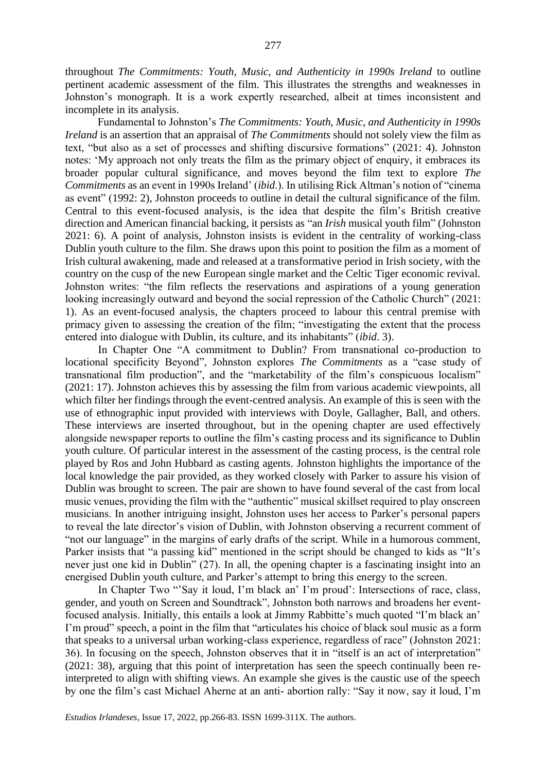throughout *The Commitments: Youth, Music, and Authenticity in 1990s Ireland* to outline pertinent academic assessment of the film. This illustrates the strengths and weaknesses in Johnston's monograph. It is a work expertly researched, albeit at times inconsistent and incomplete in its analysis.

Fundamental to Johnston's *The Commitments: Youth, Music, and Authenticity in 1990s Ireland* is an assertion that an appraisal of *The Commitments* should not solely view the film as text, "but also as a set of processes and shifting discursive formations" (2021: 4). Johnston notes: 'My approach not only treats the film as the primary object of enquiry, it embraces its broader popular cultural significance, and moves beyond the film text to explore *The Commitments* as an event in 1990s Ireland' (*ibid*.). In utilising Rick Altman's notion of "cinema as event" (1992: 2), Johnston proceeds to outline in detail the cultural significance of the film. Central to this event-focused analysis, is the idea that despite the film's British creative direction and American financial backing, it persists as "an *Irish* musical youth film" (Johnston 2021: 6). A point of analysis, Johnston insists is evident in the centrality of working-class Dublin youth culture to the film. She draws upon this point to position the film as a moment of Irish cultural awakening, made and released at a transformative period in Irish society, with the country on the cusp of the new European single market and the Celtic Tiger economic revival. Johnston writes: "the film reflects the reservations and aspirations of a young generation looking increasingly outward and beyond the social repression of the Catholic Church" (2021: 1). As an event-focused analysis, the chapters proceed to labour this central premise with primacy given to assessing the creation of the film; "investigating the extent that the process entered into dialogue with Dublin, its culture, and its inhabitants" (*ibid*. 3).

In Chapter One "A commitment to Dublin? From transnational co-production to locational specificity Beyond", Johnston explores *The Commitments* as a "case study of transnational film production", and the "marketability of the film's conspicuous localism" (2021: 17). Johnston achieves this by assessing the film from various academic viewpoints, all which filter her findings through the event-centred analysis. An example of this is seen with the use of ethnographic input provided with interviews with Doyle, Gallagher, Ball, and others. These interviews are inserted throughout, but in the opening chapter are used effectively alongside newspaper reports to outline the film's casting process and its significance to Dublin youth culture. Of particular interest in the assessment of the casting process, is the central role played by Ros and John Hubbard as casting agents. Johnston highlights the importance of the local knowledge the pair provided, as they worked closely with Parker to assure his vision of Dublin was brought to screen. The pair are shown to have found several of the cast from local music venues, providing the film with the "authentic" musical skillset required to play onscreen musicians. In another intriguing insight, Johnston uses her access to Parker's personal papers to reveal the late director's vision of Dublin, with Johnston observing a recurrent comment of "not our language" in the margins of early drafts of the script. While in a humorous comment, Parker insists that "a passing kid" mentioned in the script should be changed to kids as "It's never just one kid in Dublin" (27). In all, the opening chapter is a fascinating insight into an energised Dublin youth culture, and Parker's attempt to bring this energy to the screen.

In Chapter Two "'Say it loud, I'm black an' I'm proud': Intersections of race, class, gender, and youth on Screen and Soundtrack", Johnston both narrows and broadens her eventfocused analysis. Initially, this entails a look at Jimmy Rabbitte's much quoted "I'm black an' I'm proud" speech, a point in the film that "articulates his choice of black soul music as a form that speaks to a universal urban working-class experience, regardless of race" (Johnston 2021: 36). In focusing on the speech, Johnston observes that it in "itself is an act of interpretation" (2021: 38), arguing that this point of interpretation has seen the speech continually been reinterpreted to align with shifting views. An example she gives is the caustic use of the speech by one the film's cast Michael Aherne at an anti- abortion rally: "Say it now, say it loud, I'm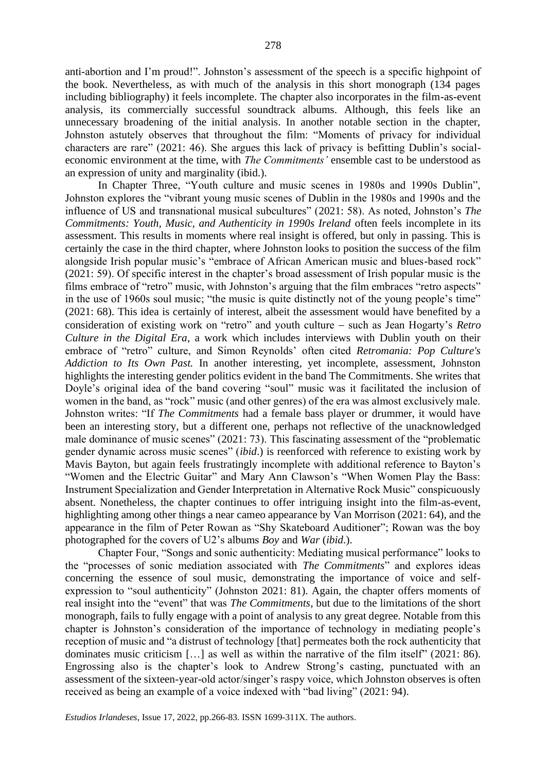anti-abortion and I'm proud!". Johnston's assessment of the speech is a specific highpoint of the book. Nevertheless, as with much of the analysis in this short monograph (134 pages including bibliography) it feels incomplete. The chapter also incorporates in the film-as-event analysis, its commercially successful soundtrack albums. Although, this feels like an unnecessary broadening of the initial analysis. In another notable section in the chapter, Johnston astutely observes that throughout the film: "Moments of privacy for individual characters are rare" (2021: 46). She argues this lack of privacy is befitting Dublin's socialeconomic environment at the time, with *The Commitments'* ensemble cast to be understood as an expression of unity and marginality (ibid.).

In Chapter Three, "Youth culture and music scenes in 1980s and 1990s Dublin", Johnston explores the "vibrant young music scenes of Dublin in the 1980s and 1990s and the influence of US and transnational musical subcultures" (2021: 58). As noted, Johnston's *The Commitments: Youth, Music, and Authenticity in 1990s Ireland* often feels incomplete in its assessment. This results in moments where real insight is offered, but only in passing. This is certainly the case in the third chapter, where Johnston looks to position the success of the film alongside Irish popular music's "embrace of African American music and blues-based rock" (2021: 59). Of specific interest in the chapter's broad assessment of Irish popular music is the films embrace of "retro" music, with Johnston's arguing that the film embraces "retro aspects" in the use of 1960s soul music; "the music is quite distinctly not of the young people's time" (2021: 68). This idea is certainly of interest, albeit the assessment would have benefited by a consideration of existing work on "retro" and youth culture − such as Jean Hogarty's *Retro Culture in the Digital Era*, a work which includes interviews with Dublin youth on their embrace of "retro" culture, and Simon Reynolds' often cited *Retromania: Pop Culture's Addiction to Its Own Past.* In another interesting, yet incomplete, assessment, Johnston highlights the interesting gender politics evident in the band The Commitments. She writes that Doyle's original idea of the band covering "soul" music was it facilitated the inclusion of women in the band, as "rock" music (and other genres) of the era was almost exclusively male. Johnston writes: "If *The Commitments* had a female bass player or drummer, it would have been an interesting story, but a different one, perhaps not reflective of the unacknowledged male dominance of music scenes" (2021: 73). This fascinating assessment of the "problematic gender dynamic across music scenes" (*ibid*.) is reenforced with reference to existing work by Mavis Bayton*,* but again feels frustratingly incomplete with additional reference to Bayton's "Women and the Electric Guitar" and Mary Ann Clawson's "When Women Play the Bass: Instrument Specialization and Gender Interpretation in Alternative Rock Music" conspicuously absent. Nonetheless, the chapter continues to offer intriguing insight into the film-as-event, highlighting among other things a near cameo appearance by Van Morrison (2021: 64), and the appearance in the film of Peter Rowan as "Shy Skateboard Auditioner"; Rowan was the boy photographed for the covers of U2's albums *Boy* and *War* (*ibid*.).

Chapter Four, "Songs and sonic authenticity: Mediating musical performance" looks to the "processes of sonic mediation associated with *The Commitments*" and explores ideas concerning the essence of soul music, demonstrating the importance of voice and selfexpression to "soul authenticity" (Johnston 2021: 81). Again, the chapter offers moments of real insight into the "event" that was *The Commitments*, but due to the limitations of the short monograph, fails to fully engage with a point of analysis to any great degree. Notable from this chapter is Johnston's consideration of the importance of technology in mediating people's reception of music and "a distrust of technology [that] permeates both the rock authenticity that dominates music criticism […] as well as within the narrative of the film itself" (2021: 86). Engrossing also is the chapter's look to Andrew Strong's casting, punctuated with an assessment of the sixteen-year-old actor/singer's raspy voice, which Johnston observes is often received as being an example of a voice indexed with "bad living" (2021: 94).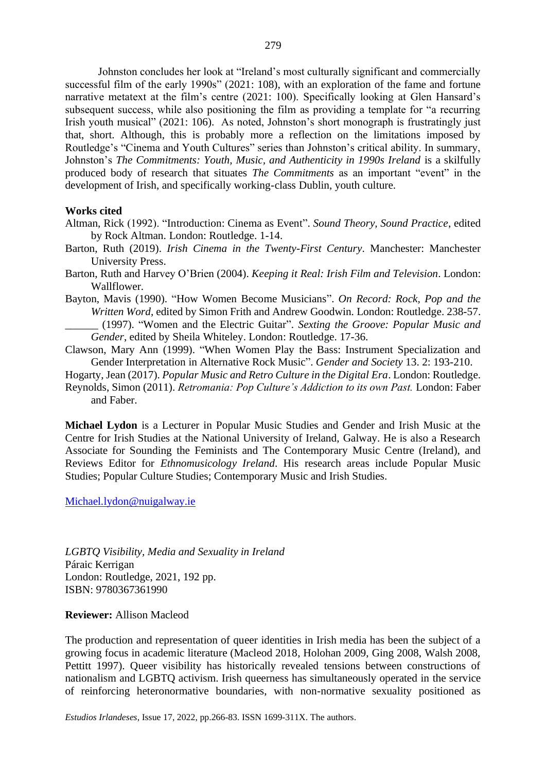Johnston concludes her look at "Ireland's most culturally significant and commercially successful film of the early 1990s" (2021: 108), with an exploration of the fame and fortune narrative metatext at the film's centre (2021: 100). Specifically looking at Glen Hansard's subsequent success, while also positioning the film as providing a template for "a recurring Irish youth musical" (2021: 106). As noted, Johnston's short monograph is frustratingly just that, short. Although, this is probably more a reflection on the limitations imposed by Routledge's "Cinema and Youth Cultures" series than Johnston's critical ability. In summary,

Johnston's *The Commitments: Youth, Music, and Authenticity in 1990s Ireland* is a skilfully produced body of research that situates *The Commitments* as an important "event" in the development of Irish, and specifically working-class Dublin, youth culture.

## **Works cited**

- Altman, Rick (1992). "Introduction: Cinema as Event". *Sound Theory, Sound Practice*, edited by Rock Altman. London: Routledge. 1-14.
- Barton, Ruth (2019). *Irish Cinema in the Twenty-First Century*. Manchester: Manchester University Press.
- Barton, Ruth and Harvey O'Brien (2004). *Keeping it Real: Irish Film and Television*. London: Wallflower.
- Bayton, Mavis (1990). "How Women Become Musicians". *On Record: Rock, Pop and the Written Word,* edited by Simon Frith and Andrew Goodwin*.* London: Routledge. 238-57. \_\_\_\_\_\_ (1997). "Women and the Electric Guitar". *Sexting the Groove: Popular Music and Gender*, edited by Sheila Whiteley. London: Routledge. 17-36.
- Clawson, Mary Ann (1999). "When Women Play the Bass: Instrument Specialization and Gender Interpretation in Alternative Rock Music". *Gender and Society* 13. 2: 193-210.
- Hogarty, Jean (2017). *Popular Music and Retro Culture in the Digital Era*. London: Routledge.
- Reynolds, Simon (2011). *Retromania: Pop Culture's Addiction to its own Past.* London: Faber and Faber.

**Michael Lydon** is a Lecturer in Popular Music Studies and Gender and Irish Music at the Centre for Irish Studies at the National University of Ireland, Galway. He is also a Research Associate for Sounding the Feminists and The Contemporary Music Centre (Ireland), and Reviews Editor for *Ethnomusicology Ireland*. His research areas include Popular Music Studies; Popular Culture Studies; Contemporary Music and Irish Studies.

# [Michael.lydon@nuigalway.ie](mailto:Michael.lydon@nuigalway.ie)

*LGBTQ Visibility, Media and Sexuality in Ireland* Páraic Kerrigan London: Routledge, 2021, 192 pp. ISBN: 9780367361990

### **Reviewer:** Allison Macleod

The production and representation of queer identities in Irish media has been the subject of a growing focus in academic literature (Macleod 2018, Holohan 2009, Ging 2008, Walsh 2008, Pettitt 1997). Queer visibility has historically revealed tensions between constructions of nationalism and LGBTQ activism. Irish queerness has simultaneously operated in the service of reinforcing heteronormative boundaries, with non-normative sexuality positioned as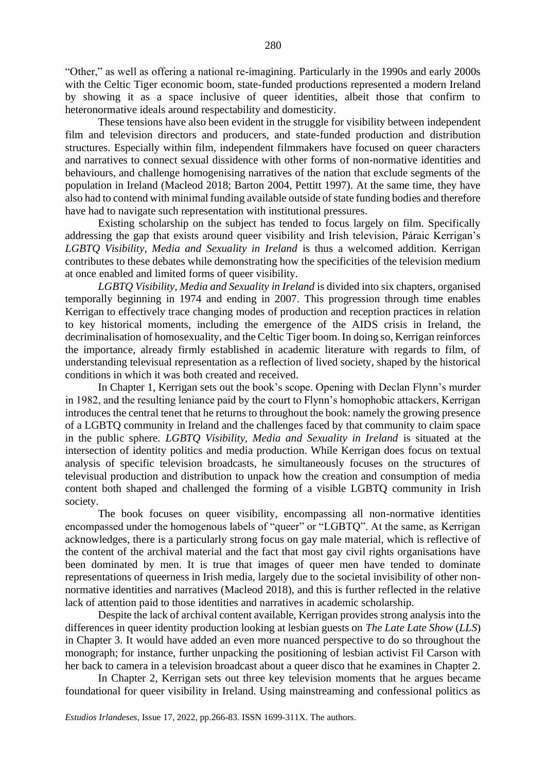"Other," as well as offering a national re-imagining. Particularly in the 1990s and early 2000s with the Celtic Tiger economic boom, state-funded productions represented a modern Ireland by showing it as a space inclusive of queer identities, albeit those that confirm to heteronormative ideals around respectability and domesticity.

These tensions have also been evident in the struggle for visibility between independent film and television directors and producers, and state-funded production and distribution structures. Especially within film, independent filmmakers have focused on queer characters and narratives to connect sexual dissidence with other forms of non-normative identities and behaviours, and challenge homogenising narratives of the nation that exclude segments of the population in Ireland (Macleod 2018; Barton 2004, Pettitt 1997). At the same time, they have also had to contend with minimal funding available outside of state funding bodies and therefore have had to navigate such representation with institutional pressures.

Existing scholarship on the subject has tended to focus largely on film. Specifically addressing the gap that exists around queer visibility and Irish television, Páraic Kerrigan's *LGBTQ Visibility, Media and Sexuality in Ireland* is thus a welcomed addition. Kerrigan contributes to these debates while demonstrating how the specificities of the television medium at once enabled and limited forms of queer visibility.

*LGBTQ Visibility, Media and Sexuality in Ireland* is divided into six chapters, organised temporally beginning in 1974 and ending in 2007. This progression through time enables Kerrigan to effectively trace changing modes of production and reception practices in relation to key historical moments, including the emergence of the AIDS crisis in Ireland, the decriminalisation of homosexuality, and the Celtic Tiger boom. In doing so, Kerrigan reinforces the importance, already firmly established in academic literature with regards to film, of understanding televisual representation as a reflection of lived society, shaped by the historical conditions in which it was both created and received.

In Chapter 1, Kerrigan sets out the book's scope. Opening with Declan Flynn's murder in 1982, and the resulting leniance paid by the court to Flynn's homophobic attackers, Kerrigan introduces the central tenet that he returns to throughout the book: namely the growing presence of a LGBTQ community in Ireland and the challenges faced by that community to claim space in the public sphere. *LGBTQ Visibility, Media and Sexuality in Ireland* is situated at the intersection of identity politics and media production. While Kerrigan does focus on textual analysis of specific television broadcasts, he simultaneously focuses on the structures of televisual production and distribution to unpack how the creation and consumption of media content both shaped and challenged the forming of a visible LGBTQ community in Irish society.

The book focuses on queer visibility, encompassing all non-normative identities encompassed under the homogenous labels of "queer" or "LGBTO". At the same, as Kerrigan acknowledges, there is a particularly strong focus on gay male material, which is reflective of the content of the archival material and the fact that most gay civil rights organisations have been dominated by men. It is true that images of queer men have tended to dominate representations of queerness in Irish media, largely due to the societal invisibility of other nonnormative identities and narratives (Macleod 2018), and this is further reflected in the relative lack of attention paid to those identities and narratives in academic scholarship.

Despite the lack of archival content available, Kerrigan provides strong analysis into the differences in queer identity production looking at lesbian guests on *The Late Late Show* (*LLS*) in Chapter 3. It would have added an even more nuanced perspective to do so throughout the monograph; for instance, further unpacking the positioning of lesbian activist Fil Carson with her back to camera in a television broadcast about a queer disco that he examines in Chapter 2.

In Chapter 2, Kerrigan sets out three key television moments that he argues became foundational for queer visibility in Ireland. Using mainstreaming and confessional politics as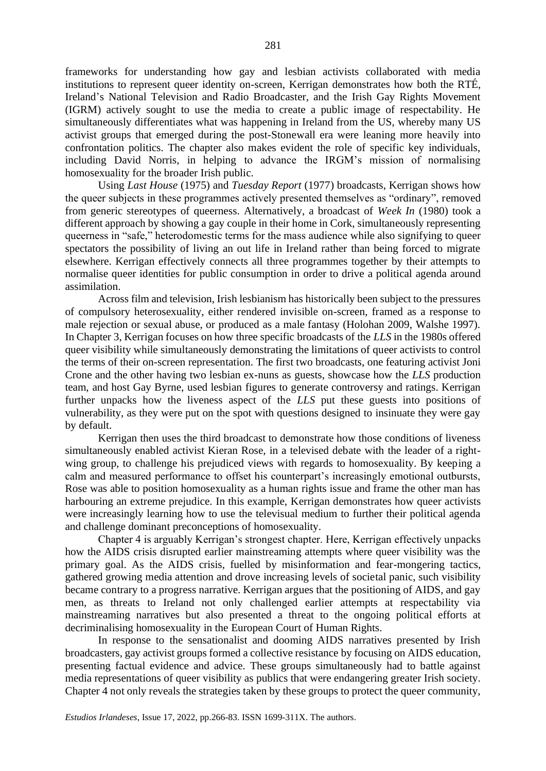frameworks for understanding how gay and lesbian activists collaborated with media institutions to represent queer identity on-screen, Kerrigan demonstrates how both the RTÉ, Ireland's National Television and Radio Broadcaster, and the Irish Gay Rights Movement (IGRM) actively sought to use the media to create a public image of respectability. He simultaneously differentiates what was happening in Ireland from the US, whereby many US activist groups that emerged during the post-Stonewall era were leaning more heavily into confrontation politics. The chapter also makes evident the role of specific key individuals, including David Norris, in helping to advance the IRGM's mission of normalising homosexuality for the broader Irish public.

Using *Last House* (1975) and *Tuesday Report* (1977) broadcasts, Kerrigan shows how the queer subjects in these programmes actively presented themselves as "ordinary", removed from generic stereotypes of queerness. Alternatively, a broadcast of *Week In* (1980) took a different approach by showing a gay couple in their home in Cork, simultaneously representing queerness in "safe," heterodomestic terms for the mass audience while also signifying to queer spectators the possibility of living an out life in Ireland rather than being forced to migrate elsewhere. Kerrigan effectively connects all three programmes together by their attempts to normalise queer identities for public consumption in order to drive a political agenda around assimilation.

Across film and television, Irish lesbianism has historically been subject to the pressures of compulsory heterosexuality, either rendered invisible on-screen, framed as a response to male rejection or sexual abuse, or produced as a male fantasy (Holohan 2009, Walshe 1997). In Chapter 3, Kerrigan focuses on how three specific broadcasts of the *LLS* in the 1980s offered queer visibility while simultaneously demonstrating the limitations of queer activists to control the terms of their on-screen representation. The first two broadcasts, one featuring activist Joni Crone and the other having two lesbian ex-nuns as guests, showcase how the *LLS* production team, and host Gay Byrne, used lesbian figures to generate controversy and ratings. Kerrigan further unpacks how the liveness aspect of the *LLS* put these guests into positions of vulnerability, as they were put on the spot with questions designed to insinuate they were gay by default.

Kerrigan then uses the third broadcast to demonstrate how those conditions of liveness simultaneously enabled activist Kieran Rose, in a televised debate with the leader of a rightwing group, to challenge his prejudiced views with regards to homosexuality. By keeping a calm and measured performance to offset his counterpart's increasingly emotional outbursts, Rose was able to position homosexuality as a human rights issue and frame the other man has harbouring an extreme prejudice. In this example, Kerrigan demonstrates how queer activists were increasingly learning how to use the televisual medium to further their political agenda and challenge dominant preconceptions of homosexuality.

Chapter 4 is arguably Kerrigan's strongest chapter. Here, Kerrigan effectively unpacks how the AIDS crisis disrupted earlier mainstreaming attempts where queer visibility was the primary goal. As the AIDS crisis, fuelled by misinformation and fear-mongering tactics, gathered growing media attention and drove increasing levels of societal panic, such visibility became contrary to a progress narrative. Kerrigan argues that the positioning of AIDS, and gay men, as threats to Ireland not only challenged earlier attempts at respectability via mainstreaming narratives but also presented a threat to the ongoing political efforts at decriminalising homosexuality in the European Court of Human Rights.

In response to the sensationalist and dooming AIDS narratives presented by Irish broadcasters, gay activist groups formed a collective resistance by focusing on AIDS education, presenting factual evidence and advice. These groups simultaneously had to battle against media representations of queer visibility as publics that were endangering greater Irish society. Chapter 4 not only reveals the strategies taken by these groups to protect the queer community,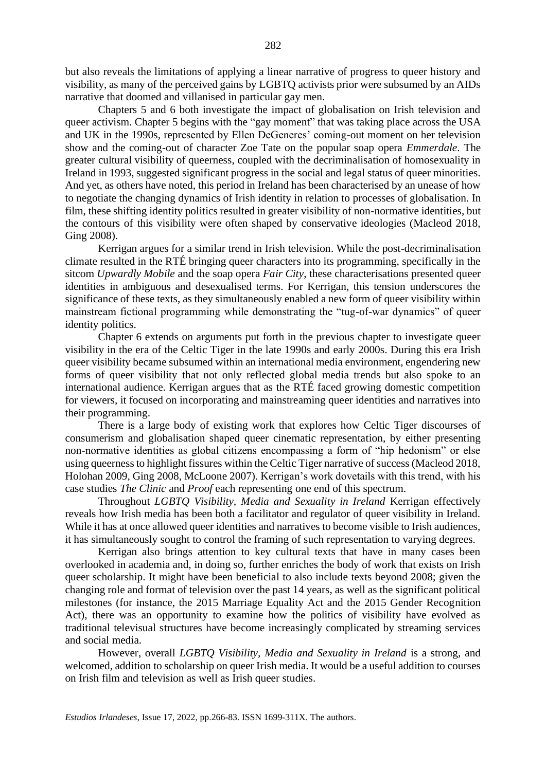but also reveals the limitations of applying a linear narrative of progress to queer history and visibility, as many of the perceived gains by LGBTQ activists prior were subsumed by an AIDs narrative that doomed and villanised in particular gay men.

Chapters 5 and 6 both investigate the impact of globalisation on Irish television and queer activism. Chapter 5 begins with the "gay moment" that was taking place across the USA and UK in the 1990s, represented by Ellen DeGeneres' coming-out moment on her television show and the coming-out of character Zoe Tate on the popular soap opera *Emmerdale*. The greater cultural visibility of queerness, coupled with the decriminalisation of homosexuality in Ireland in 1993, suggested significant progress in the social and legal status of queer minorities. And yet, as others have noted, this period in Ireland has been characterised by an unease of how to negotiate the changing dynamics of Irish identity in relation to processes of globalisation. In film, these shifting identity politics resulted in greater visibility of non-normative identities, but the contours of this visibility were often shaped by conservative ideologies (Macleod 2018, Ging 2008).

Kerrigan argues for a similar trend in Irish television. While the post-decriminalisation climate resulted in the RTÉ bringing queer characters into its programming, specifically in the sitcom *Upwardly Mobile* and the soap opera *Fair City*, these characterisations presented queer identities in ambiguous and desexualised terms. For Kerrigan, this tension underscores the significance of these texts, as they simultaneously enabled a new form of queer visibility within mainstream fictional programming while demonstrating the "tug-of-war dynamics" of queer identity politics.

Chapter 6 extends on arguments put forth in the previous chapter to investigate queer visibility in the era of the Celtic Tiger in the late 1990s and early 2000s. During this era Irish queer visibility became subsumed within an international media environment, engendering new forms of queer visibility that not only reflected global media trends but also spoke to an international audience. Kerrigan argues that as the RTÉ faced growing domestic competition for viewers, it focused on incorporating and mainstreaming queer identities and narratives into their programming.

There is a large body of existing work that explores how Celtic Tiger discourses of consumerism and globalisation shaped queer cinematic representation, by either presenting non-normative identities as global citizens encompassing a form of "hip hedonism" or else using queerness to highlight fissures within the Celtic Tiger narrative of success (Macleod 2018, Holohan 2009, Ging 2008, McLoone 2007). Kerrigan's work dovetails with this trend, with his case studies *The Clinic* and *Proof* each representing one end of this spectrum.

Throughout *LGBTQ Visibility, Media and Sexuality in Ireland* Kerrigan effectively reveals how Irish media has been both a facilitator and regulator of queer visibility in Ireland. While it has at once allowed queer identities and narratives to become visible to Irish audiences, it has simultaneously sought to control the framing of such representation to varying degrees.

Kerrigan also brings attention to key cultural texts that have in many cases been overlooked in academia and, in doing so, further enriches the body of work that exists on Irish queer scholarship. It might have been beneficial to also include texts beyond 2008; given the changing role and format of television over the past 14 years, as well as the significant political milestones (for instance, the 2015 Marriage Equality Act and the 2015 Gender Recognition Act), there was an opportunity to examine how the politics of visibility have evolved as traditional televisual structures have become increasingly complicated by streaming services and social media.

However, overall *LGBTQ Visibility, Media and Sexuality in Ireland* is a strong, and welcomed, addition to scholarship on queer Irish media. It would be a useful addition to courses on Irish film and television as well as Irish queer studies.